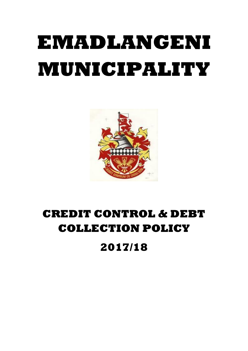# **EMADLANGENI MUNICIPALITY**



## **CREDIT CONTROL & DEBT COLLECTION POLICY**

### **2017/18**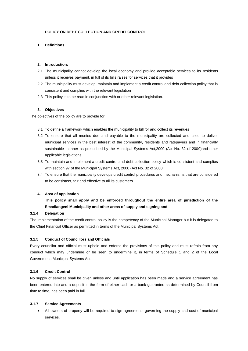#### **POLICY ON DEBT COLLECTION AND CREDIT CONTROL**

#### **1. Definitions**

#### **2. Introduction:**

- 2.1 The municipality cannot develop the local economy and provide acceptable services to its residents unless it receives payment, in full of its bills raises for services that it provides
- 2.2 The municipality must develop, maintain and implement a credit control and debt collection policy that is consistent and complies with the relevant legislation
- 2.3 This policy is to be read in conjunction with or other relevant legislation.

#### **3. Objectives**

The objectives of the policy are to provide for:

- 3.1 To define a framework which enables the municipality to bill for and collect its revenues
- 3.2 To ensure that all monies due and payable to the municipality are collected and used to deliver municipal services in the best interest of the community, residents and ratepayers and in financially sustainable manner as prescribed by the Municipal Systems Act,2000 (Act No. 32 of 2000)and other applicable legislations
- 3.3 To maintain and implement a credit control and debt collection policy which is consistent and complies with section 97 of the Municipal Systems Act, 2000 (Act No. 32 of 2000
- 3.4 To ensure that the municipality develops credit control procedures and mechanisms that are considered to be consistent, fair and effective to all its customers.

#### **4. Area of application**

**This policy shall apply and be enforced throughout the entire area of jurisdiction of the Emadlangeni Municipality and other areas of supply and signing and**

#### **3.1.4 Delegation**

The implementation of the credit control policy is the competency of the Municipal Manager but it is delegated to the Chief Financial Officer as permitted in terms of the Municipal Systems Act.

#### **3.1.5 Conduct of Councillors and Officials**

Every councilor and official must uphold and enforce the provisions of this policy and must refrain from any conduct which may undermine or be seen to undermine it, in terms of Schedule 1 and 2 of the Local Government: Municipal Systems Act.

#### **3.1.6 Credit Control**

No supply of services shall be given unless and until application has been made and a service agreement has been entered into and a deposit in the form of either cash or a bank guarantee as determined by Council from time to time, has been paid in full.

#### **3.1.7 Service Agreements**

 All owners of property will be required to sign agreements governing the supply and cost of municipal services.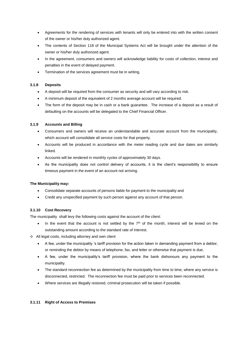- Agreements for the rendering of services with tenants will only be entered into with the written consent of the owner or his/her duly authorized agent.
- The contents of Section 118 of the Municipal Systems Act will be brought under the attention of the owner or his/her duly authorized agent.
- In the agreement, consumers and owners will acknowledge liability for costs of collection, interest and penalties in the event of delayed payment.
- Termination of the services agreement must be in writing.

#### **3.1.8 Deposits**

- A deposit will be required from the consumer as security and will vary according to risk.
- A minimum deposit of the equivalent of 2 months average account will be required.
- The form of the deposit may be in cash or a bank guarantee. The increase of a deposit as a result of defaulting on the accounts will be delegated to the Chief Financial Officer.

#### **3.1.9 Accounts and Billing**

- Consumers and owners will receive an understandable and accurate account from the municipality, which account will consolidate all service costs for that property.
- Accounts will be produced in accordance with the meter reading cycle and due dates are similarly linked.
- Accounts will be rendered in monthly cycles of approximately 30 days.
- As the municipality does not control delivery of accounts, it is the client's responsibility to ensure timeous payment in the event of an account not arriving.

#### **The Municipality may:**

- Consolidate separate accounts of persons liable for payment to the municipality and
- Credit any unspecified payment by such person against any account of that person.

#### **3.1.10 Cost Recovery**

The municipality shall levy the following costs against the account of the client:

- In the event that the account is not settled by the  $7<sup>th</sup>$  of the month, interest will be levied on the outstanding amount according to the standard rate of interest.
- ◊ All legal costs, including attorney and own client
	- A fee, under the municipality 's tariff provision for the action taken in demanding payment from a debtor, or reminding the debtor by means of telephone, fax, and letter or otherwise that payment is due.
	- A fee, under the municipality's tariff provision, where the bank dishonours any payment to the municipality.
	- The standard reconnection fee as determined by the municipality from time to time, where any service is disconnected, restricted. The reconnection fee must be paid prior to services been reconnected.
	- Where services are illegally restored, criminal prosecution will be taken if possible.

#### **3.1.11 Right of Access to Premises**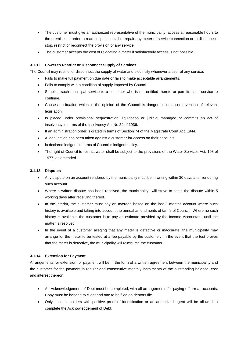- The customer must give an authorized representative of the municipality access at reasonable hours to the premises in order to read, inspect, install or repair any meter or service connection or to disconnect, stop, restrict or reconnect the provision of any service.
- The customer accepts the cost of relocating a meter if satisfactorily access is not possible.

#### **3.1.12 Power to Restrict or Disconnect Supply of Services**

The Council may restrict or disconnect the supply of water and electricity whenever a user of any service:

- Fails to make full payment on due date or fails to make acceptable arrangements.
- Fails to comply with a condition of supply imposed by Council.
- Supplies such municipal service to a customer who is not entitled thereto or permits such service to continue.
- Causes a situation which in the opinion of the Council is dangerous or a contravention of relevant legislation.
- Is placed under provisional sequestration, liquidation or judicial managed or commits an act of insolvency in terms of the Insolvency Act No 24 of 1936.
- If an administration order is grated in terms of Section 74 of the Magistrate Court Act, 1944.
- A legal action has been taken against a customer for access on their accounts.
- Is declared indigent in terms of Council's indigent policy.
- The right of Council to restrict water shall be subject to the provisions of the Water Services Act, 108 of 1977, as amended.

#### **3.1.13 Disputes**

- Any dispute on an account rendered by the municipality must be in writing within 30 days after rendering such account.
- Where a written dispute has been received, the municipality will strive to settle the dispute within 5 working days after receiving thereof.
- In the interim, the customer must pay an average based on the last 3 months account where such history is available and taking into account the annual amendments of tariffs of Council. Where no such history is available, the customer is to pay an estimate provided by the Income Accountant, until the matter is resolved.
- In the event of a customer alleging that any meter is defective or inaccurate, the municipality may arrange for the meter to be tested at a fee payable by the customer. In the event that the test proves that the meter is defective, the municipality will reimburse the customer.

#### **3.1.14 Extension for Payment**

Arrangements for extension for payment will be in the form of a written agreement between the municipality and the customer for the payment in regular and consecutive monthly instalments of the outstanding balance, cost and interest thereon.

- An Acknowledgement of Debt must be completed, with all arrangements for paying off arrear accounts. Copy must be handed to client and one to be filed on debtors file.
- Only account holders with positive proof of identification or an authorized agent will be allowed to complete the Acknowledgement of Debt.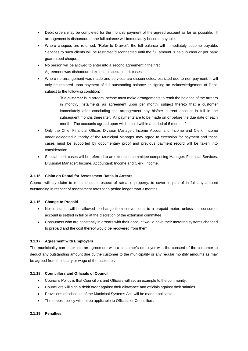- Debit orders may be completed for the monthly payment of the agreed account as far as possible. If arrangement is dishonoured, the full balance will immediately become payable.
- Where cheques are returned, "Refer to Drawer", the full balance will immediately become payable. Services to such clients will be restricted/disconnected until the full amount is paid in cash or per bank guaranteed cheque.
- No person will be allowed to enter into a second agreement if the first Agreement was dishonoured except in special merit cases.
- Where no arrangement was made and services are disconnected/restricted due to non-payment, it will only be restored upon payment of full outstanding balance or signing an Acknowledgement of Debt, subject to the following condition:

"If a customer is in arrears, he/she must make arrangements to remit the balance of the arrears in monthly instalments as agreement upon per month, subject thereto that a customer immediately after concluding the arrangement pay his/her current account in full in the subsequent months thereafter. All payments are to be made on or before the due date of each month. The accounts agreed upon will be paid within a period of 6 months."

- Only the Chief Financial Officer, Division Manager: Income Accountant: Income and Clerk: Income under delegated authority of the Municipal Manager may agree to extension for payment and these cases must be supported by documentary proof and previous payment record will be taken into consideration.
- Special merit cases will be referred to an extension committee comprising Manager: Financial Services, Divisional Manager: Income, Accountant: Income and Clerk: Income.

#### **3.1.15 Claim on Rental for Assessment Rates in Arrears**

Council will lay claim to rental due, in respect of rateable property, to cover in part of in full any amount outstanding in respect of assessment rates for a period longer than 3 months.

#### **3.1.16 Change to Prepaid**

- No consumer will be allowed to change from conventional to a prepaid meter, unless the consumer account is settled in full or at the discretion of the extension committee.
- Consumers who are constantly in arrears with their account would have their metering systems changed to prepaid and the cost thereof would be recovered from them.

#### **3.1.17 Agreement with Employers**

The municipality can enter into an agreement with a customer's employer with the consent of the customer to deduct any outstanding amount due by the customer to the municipality or any regular monthly amounts as may be agreed from the salary or wage of the customer.

#### **3.1.18 Councillors and Officials of Council**

- Council's Policy is that Councillors and Officials will set an example to the community.
- Councillors will sign a debit order against their allowance and officials against their salaries.
- Provisions of schedule of the Municipal Systems Act, will be made applicable.
- The deposit policy will not be applicable to Officials or Councillors.

#### **3.1.19 Penalties**